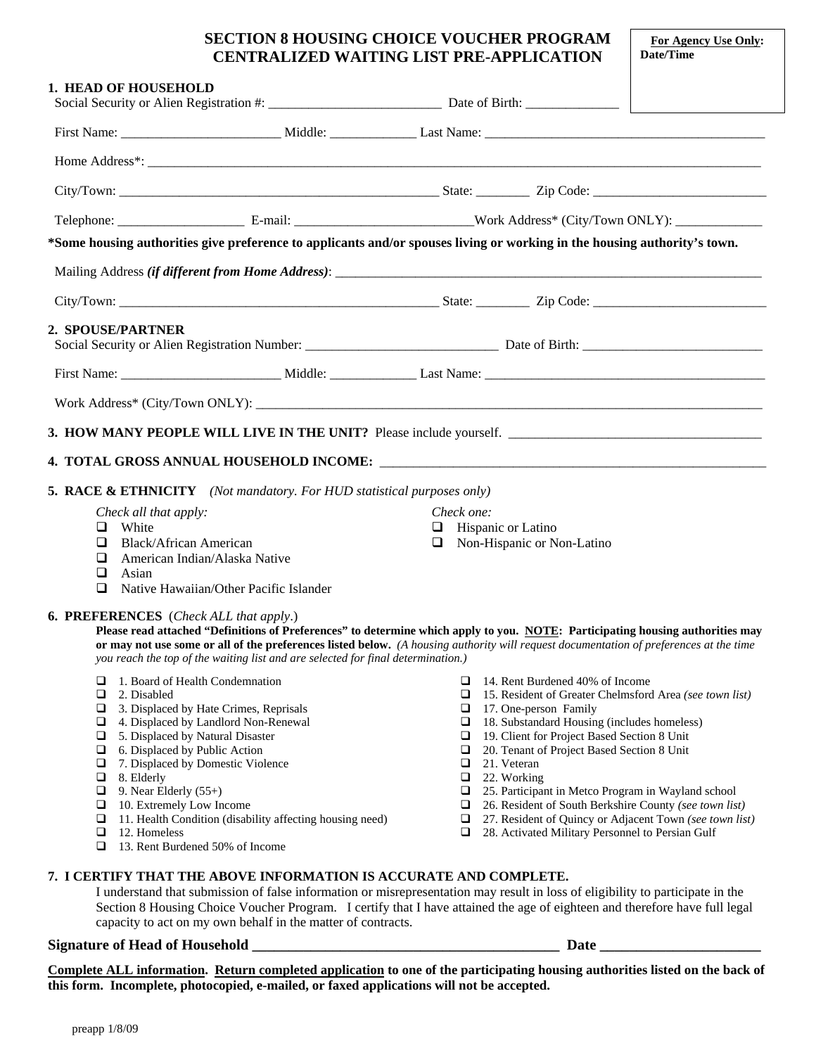## **SECTION 8 HOUSING CHOICE VOUCHER PROGRAM** For Agency Use Only: **CENTRALIZED WAITING LIST PRE-APPLICATION Date/Time**

| <b>1. HEAD OF HOUSEHOLD</b>                                                                                                                                                                                                                                                                                                                                                                                                                                                                                                                                                                                                                                                                                                                                                                                                                                                                                                                       |                                                                     |                                                                                                                                                                                                                                                                                                                                                                                                                                                                                                                              | $\mathcal{L} = \frac{\mathcal{L}(\mathcal{L} - \mathcal{L}(\mathcal{L} - \mathcal{L})))}{\mathcal{L}(\mathcal{L} - \mathcal{L}(\mathcal{L} - \mathcal{L} - \mathcal{L})))}$ |
|---------------------------------------------------------------------------------------------------------------------------------------------------------------------------------------------------------------------------------------------------------------------------------------------------------------------------------------------------------------------------------------------------------------------------------------------------------------------------------------------------------------------------------------------------------------------------------------------------------------------------------------------------------------------------------------------------------------------------------------------------------------------------------------------------------------------------------------------------------------------------------------------------------------------------------------------------|---------------------------------------------------------------------|------------------------------------------------------------------------------------------------------------------------------------------------------------------------------------------------------------------------------------------------------------------------------------------------------------------------------------------------------------------------------------------------------------------------------------------------------------------------------------------------------------------------------|-----------------------------------------------------------------------------------------------------------------------------------------------------------------------------|
|                                                                                                                                                                                                                                                                                                                                                                                                                                                                                                                                                                                                                                                                                                                                                                                                                                                                                                                                                   |                                                                     |                                                                                                                                                                                                                                                                                                                                                                                                                                                                                                                              |                                                                                                                                                                             |
|                                                                                                                                                                                                                                                                                                                                                                                                                                                                                                                                                                                                                                                                                                                                                                                                                                                                                                                                                   |                                                                     |                                                                                                                                                                                                                                                                                                                                                                                                                                                                                                                              |                                                                                                                                                                             |
|                                                                                                                                                                                                                                                                                                                                                                                                                                                                                                                                                                                                                                                                                                                                                                                                                                                                                                                                                   |                                                                     |                                                                                                                                                                                                                                                                                                                                                                                                                                                                                                                              |                                                                                                                                                                             |
|                                                                                                                                                                                                                                                                                                                                                                                                                                                                                                                                                                                                                                                                                                                                                                                                                                                                                                                                                   |                                                                     |                                                                                                                                                                                                                                                                                                                                                                                                                                                                                                                              |                                                                                                                                                                             |
| *Some housing authorities give preference to applicants and/or spouses living or working in the housing authority's town.                                                                                                                                                                                                                                                                                                                                                                                                                                                                                                                                                                                                                                                                                                                                                                                                                         |                                                                     |                                                                                                                                                                                                                                                                                                                                                                                                                                                                                                                              |                                                                                                                                                                             |
|                                                                                                                                                                                                                                                                                                                                                                                                                                                                                                                                                                                                                                                                                                                                                                                                                                                                                                                                                   |                                                                     |                                                                                                                                                                                                                                                                                                                                                                                                                                                                                                                              |                                                                                                                                                                             |
|                                                                                                                                                                                                                                                                                                                                                                                                                                                                                                                                                                                                                                                                                                                                                                                                                                                                                                                                                   |                                                                     |                                                                                                                                                                                                                                                                                                                                                                                                                                                                                                                              |                                                                                                                                                                             |
| 2. SPOUSE/PARTNER                                                                                                                                                                                                                                                                                                                                                                                                                                                                                                                                                                                                                                                                                                                                                                                                                                                                                                                                 |                                                                     |                                                                                                                                                                                                                                                                                                                                                                                                                                                                                                                              |                                                                                                                                                                             |
|                                                                                                                                                                                                                                                                                                                                                                                                                                                                                                                                                                                                                                                                                                                                                                                                                                                                                                                                                   |                                                                     |                                                                                                                                                                                                                                                                                                                                                                                                                                                                                                                              |                                                                                                                                                                             |
|                                                                                                                                                                                                                                                                                                                                                                                                                                                                                                                                                                                                                                                                                                                                                                                                                                                                                                                                                   |                                                                     |                                                                                                                                                                                                                                                                                                                                                                                                                                                                                                                              |                                                                                                                                                                             |
|                                                                                                                                                                                                                                                                                                                                                                                                                                                                                                                                                                                                                                                                                                                                                                                                                                                                                                                                                   |                                                                     |                                                                                                                                                                                                                                                                                                                                                                                                                                                                                                                              |                                                                                                                                                                             |
|                                                                                                                                                                                                                                                                                                                                                                                                                                                                                                                                                                                                                                                                                                                                                                                                                                                                                                                                                   |                                                                     |                                                                                                                                                                                                                                                                                                                                                                                                                                                                                                                              |                                                                                                                                                                             |
| <b>5. RACE &amp; ETHNICITY</b> (Not mandatory. For HUD statistical purposes only)                                                                                                                                                                                                                                                                                                                                                                                                                                                                                                                                                                                                                                                                                                                                                                                                                                                                 |                                                                     |                                                                                                                                                                                                                                                                                                                                                                                                                                                                                                                              |                                                                                                                                                                             |
| Check all that apply:<br>$\Box$ White<br><b>Black/African American</b><br>◻<br>$\Box$<br>American Indian/Alaska Native<br>$\Box$<br>Asian<br>Native Hawaiian/Other Pacific Islander<br>□                                                                                                                                                                                                                                                                                                                                                                                                                                                                                                                                                                                                                                                                                                                                                          | Check one:                                                          | $\Box$ Hispanic or Latino<br>$\Box$ Non-Hispanic or Non-Latino                                                                                                                                                                                                                                                                                                                                                                                                                                                               |                                                                                                                                                                             |
| <b>6. PREFERENCES</b> (Check ALL that apply.)<br>Please read attached "Definitions of Preferences" to determine which apply to you. NOTE: Participating housing authorities may<br>or may not use some or all of the preferences listed below. (A housing authority will request documentation of preferences at the time<br>you reach the top of the waiting list and are selected for final determination.)<br>1. Board of Health Condemnation<br>❏<br>❏<br>2. Disabled<br>O<br>3. Displaced by Hate Crimes, Reprisals<br>4. Displaced by Landlord Non-Renewal<br>$\Box$<br>5. Displaced by Natural Disaster<br>□<br>$\Box$<br>6. Displaced by Public Action<br>$\Box$<br>7. Displaced by Domestic Violence<br>$\Box$<br>8. Elderly<br>9. Near Elderly (55+)<br>□<br>$\Box$<br>10. Extremely Low Income<br>$\Box$<br>11. Health Condition (disability affecting housing need)<br>12. Homeless<br>□<br>$\Box$<br>13. Rent Burdened 50% of Income | ❏<br>o.<br>□<br>$\Box$<br>u<br>□<br>□<br>$\Box$<br>□<br>□<br>□<br>u | 14. Rent Burdened 40% of Income<br>15. Resident of Greater Chelmsford Area (see town list)<br>17. One-person Family<br>18. Substandard Housing (includes homeless)<br>19. Client for Project Based Section 8 Unit<br>20. Tenant of Project Based Section 8 Unit<br>21. Veteran<br>22. Working<br>25. Participant in Metco Program in Wayland school<br>26. Resident of South Berkshire County (see town list)<br>27. Resident of Quincy or Adjacent Town (see town list)<br>28. Activated Military Personnel to Persian Gulf |                                                                                                                                                                             |
| 7. I CERTIFY THAT THE ABOVE INFORMATION IS ACCURATE AND COMPLETE.<br>I understand that submission of false information or misrepresentation may result in loss of eligibility to participate in the<br>Section 8 Housing Choice Voucher Program. I certify that I have attained the age of eighteen and therefore have full legal<br>capacity to act on my own behalf in the matter of contracts.                                                                                                                                                                                                                                                                                                                                                                                                                                                                                                                                                 |                                                                     |                                                                                                                                                                                                                                                                                                                                                                                                                                                                                                                              |                                                                                                                                                                             |

## **Signature of Head of Household \_\_\_\_\_\_\_\_\_\_\_\_\_\_\_\_\_\_\_\_\_\_\_\_\_\_\_\_\_\_\_\_\_\_\_\_\_\_\_\_\_\_ Date \_\_\_\_\_\_\_\_\_\_\_\_\_\_\_\_\_\_\_\_\_\_**

**Complete ALL information. Return completed application to one of the participating housing authorities listed on the back of this form. Incomplete, photocopied, e-mailed, or faxed applications will not be accepted.**